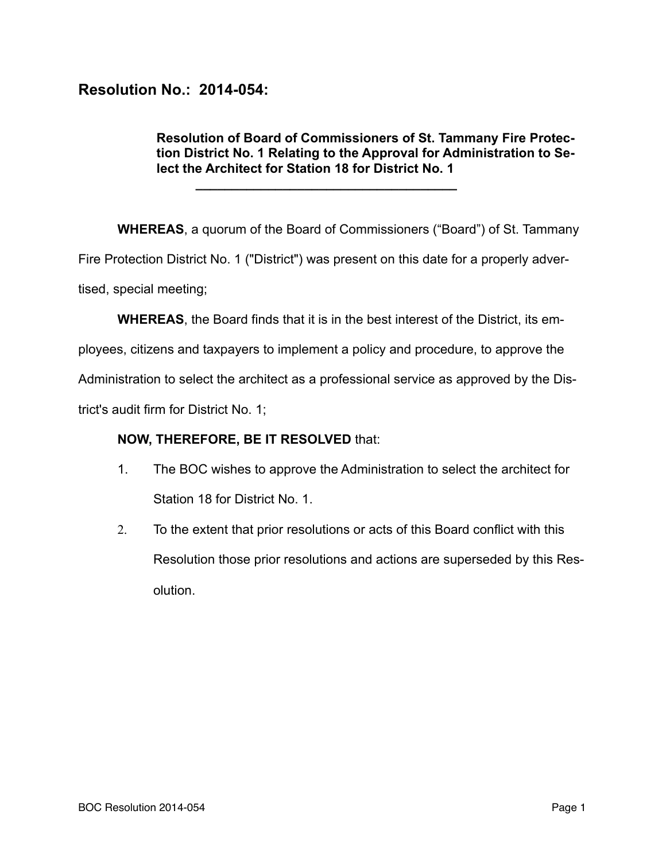## **Resolution No.: 2014-054:**

## **Resolution of Board of Commissioners of St. Tammany Fire Protection District No. 1 Relating to the Approval for Administration to Select the Architect for Station 18 for District No. 1**

**WHEREAS**, a quorum of the Board of Commissioners ("Board") of St. Tammany Fire Protection District No. 1 ("District") was present on this date for a properly advertised, special meeting;

**WHEREAS**, the Board finds that it is in the best interest of the District, its em-

ployees, citizens and taxpayers to implement a policy and procedure, to approve the

Administration to select the architect as a professional service as approved by the Dis-

trict's audit firm for District No. 1;

## **NOW, THEREFORE, BE IT RESOLVED** that:

**\_\_\_\_\_\_\_\_\_\_\_\_\_\_\_\_\_\_\_\_\_\_\_\_\_\_\_\_\_\_\_\_\_\_\_\_** 

- 1. The BOC wishes to approve the Administration to select the architect for Station 18 for District No. 1.
- 2. To the extent that prior resolutions or acts of this Board conflict with this Resolution those prior resolutions and actions are superseded by this Resolution.